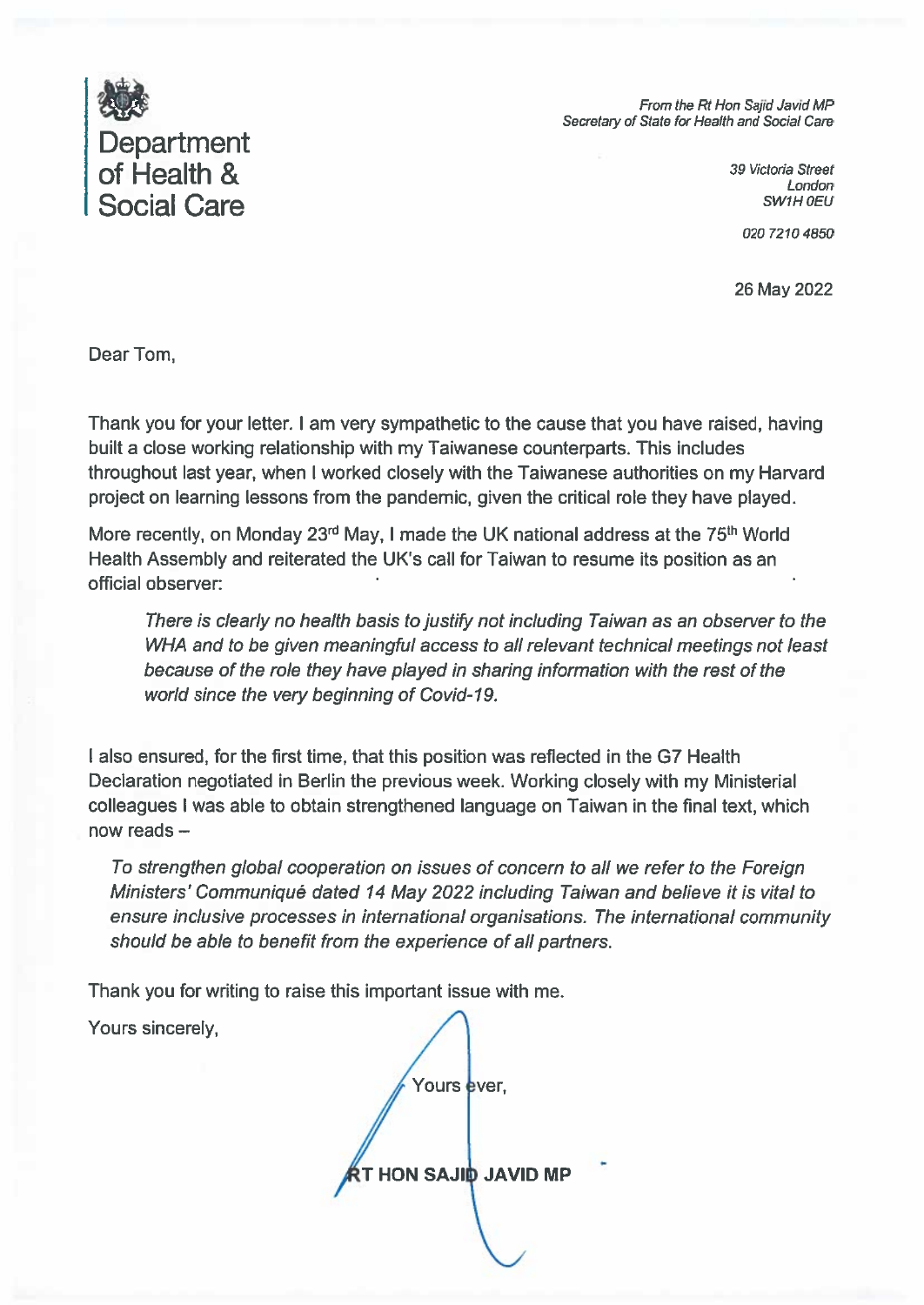

From the Rt Hon Saiid Javid MP Secretary of State for Health and Social Care

> 39 Victoria Street London SW1H 0EU

> > 020 7210 4850

26 May 2022

Dear Tom.

Thank you for your letter. I am very sympathetic to the cause that you have raised, having built a close working relationship with my Taiwanese counterparts. This includes throughout last year, when I worked closely with the Taiwanese authorities on my Harvard project on learning lessons from the pandemic, given the critical role they have played.

More recently, on Monday 23rd May, I made the UK national address at the 75<sup>th</sup> World Health Assembly and reiterated the UK's call for Taiwan to resume its position as an official observer:

There is clearly no health basis to justify not including Taiwan as an observer to the WHA and to be given meaningful access to all relevant technical meetings not least because of the role they have played in sharing information with the rest of the world since the very beginning of Covid-19.

I also ensured, for the first time, that this position was reflected in the G7 Health Declaration negotiated in Berlin the previous week. Working closely with my Ministerial colleagues I was able to obtain strengthened language on Taiwan in the final text, which now reads -

To strengthen global cooperation on issues of concern to all we refer to the Foreign Ministers' Communiqué dated 14 May 2022 including Taiwan and believe it is vital to ensure inclusive processes in international organisations. The international community should be able to benefit from the experience of all partners.

Thank you for writing to raise this important issue with me.

Yours sincerely,

Yours ever. **HON SAJID JAVID MP**